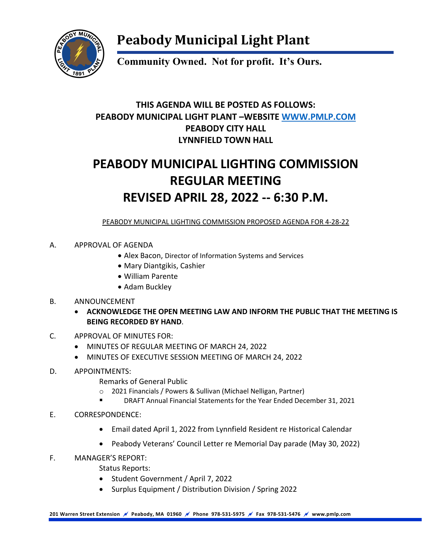

## **Peabody Municipal Light Plant**

**Community Owned. Not for profit. It's Ours.**

### **THIS AGENDA WILL BE POSTED AS FOLLOWS: PEABODY MUNICIPAL LIGHT PLANT –WEBSITE [WWW.PMLP.COM](http://www.pmlp.com/) PEABODY CITY HALL LYNNFIELD TOWN HALL**

## **PEABODY MUNICIPAL LIGHTING COMMISSION REGULAR MEETING REVISED APRIL 28, 2022 -- 6:30 P.M.**

PEABODY MUNICIPAL LIGHTING COMMISSION PROPOSED AGENDA FOR 4-28-22

#### A. APPROVAL OF AGENDA

- Alex Bacon, Director of Information Systems and Services
- Mary Diantgikis, Cashier
- William Parente
- Adam Buckley

#### B. ANNOUNCEMENT

- **ACKNOWLEDGE THE OPEN MEETING LAW AND INFORM THE PUBLIC THAT THE MEETING IS BEING RECORDED BY HAND**.
- C. APPROVAL OF MINUTES FOR:
	- MINUTES OF REGULAR MEETING OF MARCH 24, 2022
	- MINUTES OF EXECUTIVE SESSION MEETING OF MARCH 24, 2022
- D. APPOINTMENTS:
	- Remarks of General Public
	- o 2021 Financials / Powers & Sullivan (Michael Nelligan, Partner)
	- DRAFT Annual Financial Statements for the Year Ended December 31, 2021
- E. CORRESPONDENCE:
	- Email dated April 1, 2022 from Lynnfield Resident re Historical Calendar
	- Peabody Veterans' Council Letter re Memorial Day parade (May 30, 2022)
- F. MANAGER'S REPORT:
	- Status Reports:
	- Student Government / April 7, 2022
	- Surplus Equipment / Distribution Division / Spring 2022

**201 Warren Street Extension Peabody, MA 01960 Phone 978-531-5975 Fax 978-531-5476 www.pmlp.com**